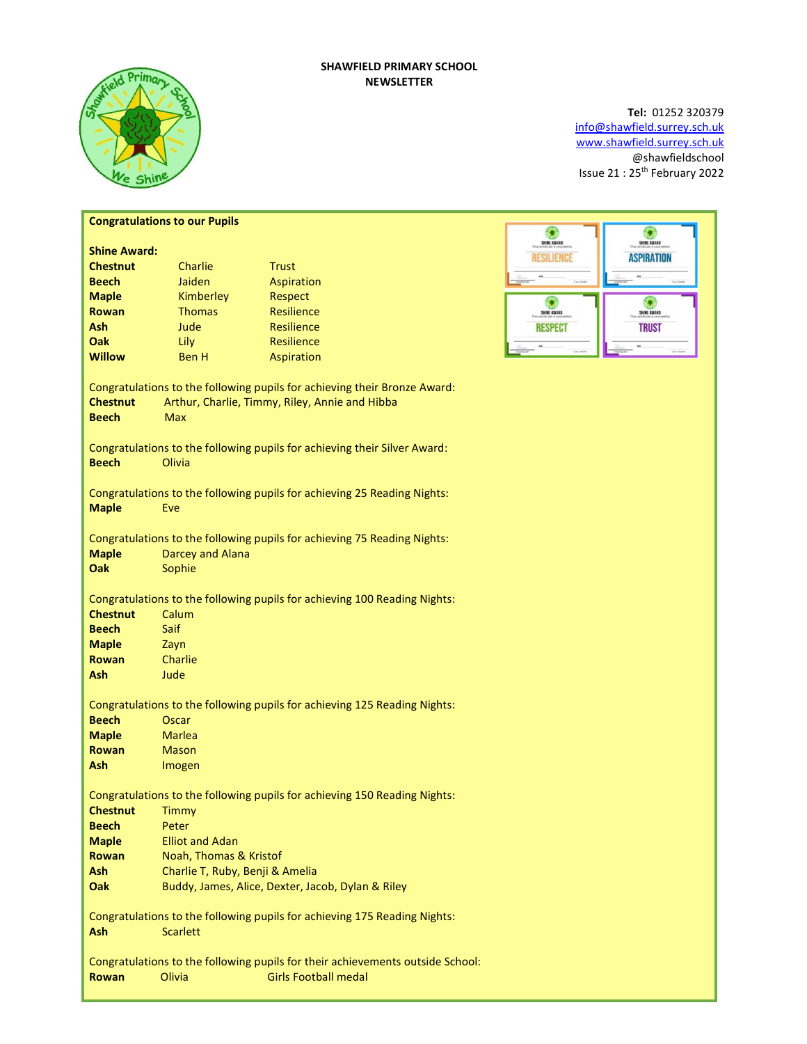# SHAWFIELD PRIMARY SCHOOL NEWSLETTER



# Tel: 01252 320379 info@shawfield.surrey.sch.uk www.shawfield.surrey.sch.uk @shawfieldschool Issue 21 : 25th February 2022

| <b>Congratulations to our Pupils</b>                                           |                                                                           |                                                                          |                                 |  |  |  |
|--------------------------------------------------------------------------------|---------------------------------------------------------------------------|--------------------------------------------------------------------------|---------------------------------|--|--|--|
|                                                                                |                                                                           |                                                                          | ۰<br>SHINE AWARD<br>SHINE AWARD |  |  |  |
| <b>Shine Award:</b>                                                            |                                                                           |                                                                          | <b>ASPIRATION</b><br>Resilience |  |  |  |
| <b>Chestnut</b>                                                                | Charlie                                                                   | <b>Trust</b>                                                             |                                 |  |  |  |
| <b>Beech</b>                                                                   | Jaiden                                                                    | Aspiration                                                               |                                 |  |  |  |
| <b>Maple</b>                                                                   | Kimberley                                                                 | Respect                                                                  | ۰<br>G                          |  |  |  |
| Rowan                                                                          | <b>Thomas</b>                                                             | <b>Resilience</b>                                                        | SHINE AWARD<br>SHINE AWARD      |  |  |  |
| Ash                                                                            | Jude                                                                      | Resilience                                                               | <b>TRUST</b><br><b>RESPECT</b>  |  |  |  |
| Oak                                                                            | Lily                                                                      | Resilience                                                               |                                 |  |  |  |
| <b>Willow</b>                                                                  | <b>Ben H</b>                                                              | Aspiration                                                               |                                 |  |  |  |
|                                                                                |                                                                           |                                                                          |                                 |  |  |  |
| <b>Chestnut</b>                                                                | Congratulations to the following pupils for achieving their Bronze Award: |                                                                          |                                 |  |  |  |
| <b>Beech</b>                                                                   | Arthur, Charlie, Timmy, Riley, Annie and Hibba<br><b>Max</b>              |                                                                          |                                 |  |  |  |
|                                                                                |                                                                           |                                                                          |                                 |  |  |  |
| Congratulations to the following pupils for achieving their Silver Award:      |                                                                           |                                                                          |                                 |  |  |  |
| <b>Beech</b>                                                                   | Olivia                                                                    |                                                                          |                                 |  |  |  |
|                                                                                |                                                                           |                                                                          |                                 |  |  |  |
|                                                                                |                                                                           | Congratulations to the following pupils for achieving 25 Reading Nights: |                                 |  |  |  |
| <b>Maple</b>                                                                   | Eve                                                                       |                                                                          |                                 |  |  |  |
|                                                                                |                                                                           |                                                                          |                                 |  |  |  |
| Congratulations to the following pupils for achieving 75 Reading Nights:       |                                                                           |                                                                          |                                 |  |  |  |
| <b>Maple</b>                                                                   | <b>Darcey and Alana</b>                                                   |                                                                          |                                 |  |  |  |
| Oak                                                                            | Sophie                                                                    |                                                                          |                                 |  |  |  |
|                                                                                |                                                                           |                                                                          |                                 |  |  |  |
| Congratulations to the following pupils for achieving 100 Reading Nights:      |                                                                           |                                                                          |                                 |  |  |  |
| <b>Chestnut</b>                                                                | Calum                                                                     |                                                                          |                                 |  |  |  |
| <b>Beech</b>                                                                   | Saif                                                                      |                                                                          |                                 |  |  |  |
| <b>Maple</b>                                                                   | Zayn                                                                      |                                                                          |                                 |  |  |  |
| <b>Rowan</b>                                                                   | Charlie                                                                   |                                                                          |                                 |  |  |  |
| <b>Ash</b>                                                                     | Jude                                                                      |                                                                          |                                 |  |  |  |
|                                                                                |                                                                           |                                                                          |                                 |  |  |  |
| Congratulations to the following pupils for achieving 125 Reading Nights:      |                                                                           |                                                                          |                                 |  |  |  |
| <b>Beech</b>                                                                   | Oscar                                                                     |                                                                          |                                 |  |  |  |
| <b>Maple</b>                                                                   | <b>Marlea</b>                                                             |                                                                          |                                 |  |  |  |
| <b>Rowan</b>                                                                   | <b>Mason</b>                                                              |                                                                          |                                 |  |  |  |
| <b>Ash</b>                                                                     | Imogen                                                                    |                                                                          |                                 |  |  |  |
|                                                                                |                                                                           |                                                                          |                                 |  |  |  |
| <b>Chestnut</b>                                                                | Congratulations to the following pupils for achieving 150 Reading Nights: |                                                                          |                                 |  |  |  |
| <b>Beech</b>                                                                   | Timmy<br>Peter                                                            |                                                                          |                                 |  |  |  |
| <b>Maple</b>                                                                   | <b>Elliot and Adan</b>                                                    |                                                                          |                                 |  |  |  |
| <b>Rowan</b>                                                                   | Noah, Thomas & Kristof                                                    |                                                                          |                                 |  |  |  |
| <b>Ash</b>                                                                     | Charlie T, Ruby, Benji & Amelia                                           |                                                                          |                                 |  |  |  |
| Oak                                                                            | Buddy, James, Alice, Dexter, Jacob, Dylan & Riley                         |                                                                          |                                 |  |  |  |
|                                                                                |                                                                           |                                                                          |                                 |  |  |  |
| Congratulations to the following pupils for achieving 175 Reading Nights:      |                                                                           |                                                                          |                                 |  |  |  |
| <b>Ash</b><br><b>Scarlett</b>                                                  |                                                                           |                                                                          |                                 |  |  |  |
|                                                                                |                                                                           |                                                                          |                                 |  |  |  |
| Congratulations to the following pupils for their achievements outside School: |                                                                           |                                                                          |                                 |  |  |  |
| <b>Rowan</b>                                                                   | Olivia                                                                    | <b>Girls Football medal</b>                                              |                                 |  |  |  |
|                                                                                |                                                                           |                                                                          |                                 |  |  |  |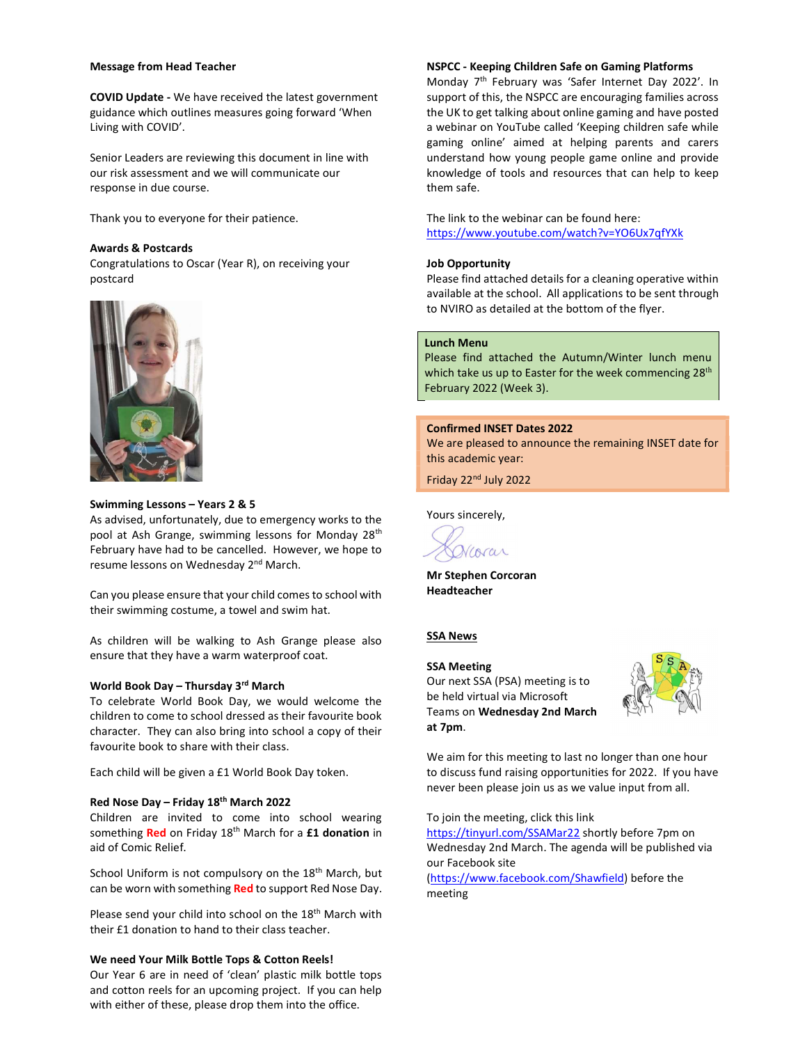#### Message from Head Teacher

COVID Update - We have received the latest government guidance which outlines measures going forward 'When Living with COVID'.

Senior Leaders are reviewing this document in line with our risk assessment and we will communicate our response in due course.

Thank you to everyone for their patience.

# Awards & Postcards

Congratulations to Oscar (Year R), on receiving your postcard



# Swimming Lessons – Years 2 & 5

As advised, unfortunately, due to emergency works to the pool at Ash Grange, swimming lessons for Monday 28<sup>th</sup> February have had to be cancelled. However, we hope to resume lessons on Wednesday 2<sup>nd</sup> March.

Can you please ensure that your child comes to school with their swimming costume, a towel and swim hat.

As children will be walking to Ash Grange please also ensure that they have a warm waterproof coat.

#### World Book Day – Thursday 3rd March

To celebrate World Book Day, we would welcome the children to come to school dressed as their favourite book character. They can also bring into school a copy of their favourite book to share with their class.

Each child will be given a £1 World Book Day token.

# Red Nose Day – Friday 18th March 2022

Children are invited to come into school wearing something Red on Friday 18<sup>th</sup> March for a £1 donation in aid of Comic Relief.

School Uniform is not compulsory on the 18<sup>th</sup> March, but can be worn with something Red to support Red Nose Day.

Please send your child into school on the 18<sup>th</sup> March with their £1 donation to hand to their class teacher.

# We need Your Milk Bottle Tops & Cotton Reels!

Our Year 6 are in need of 'clean' plastic milk bottle tops and cotton reels for an upcoming project. If you can help with either of these, please drop them into the office.

## NSPCC - Keeping Children Safe on Gaming Platforms

Monday 7<sup>th</sup> February was 'Safer Internet Day 2022'. In support of this, the NSPCC are encouraging families across the UK to get talking about online gaming and have posted a webinar on YouTube called 'Keeping children safe while gaming online' aimed at helping parents and carers understand how young people game online and provide knowledge of tools and resources that can help to keep them safe.

The link to the webinar can be found here: https://www.youtube.com/watch?v=YO6Ux7qfYXk

## Job Opportunity

Please find attached details for a cleaning operative within available at the school. All applications to be sent through to NVIRO as detailed at the bottom of the flyer.

#### Lunch Menu

Please find attached the Autumn/Winter lunch menu which take us up to Easter for the week commencing  $28<sup>th</sup>$ February 2022 (Week 3).

#### Confirmed INSET Dates 2022

We are pleased to announce the remaining INSET date for this academic year:

Friday 22nd July 2022

Yours sincerely,

Vcorar

Mr Stephen Corcoran Headteacher

# **SSA News**

# SSA Meeting Our next SSA (PSA) meeting is to be held virtual via Microsoft Teams on Wednesday 2nd March at 7pm.



We aim for this meeting to last no longer than one hour to discuss fund raising opportunities for 2022. If you have never been please join us as we value input from all.

To join the meeting, click this link

https://tinyurl.com/SSAMar22 shortly before 7pm on Wednesday 2nd March. The agenda will be published via our Facebook site

(https://www.facebook.com/Shawfield) before the meeting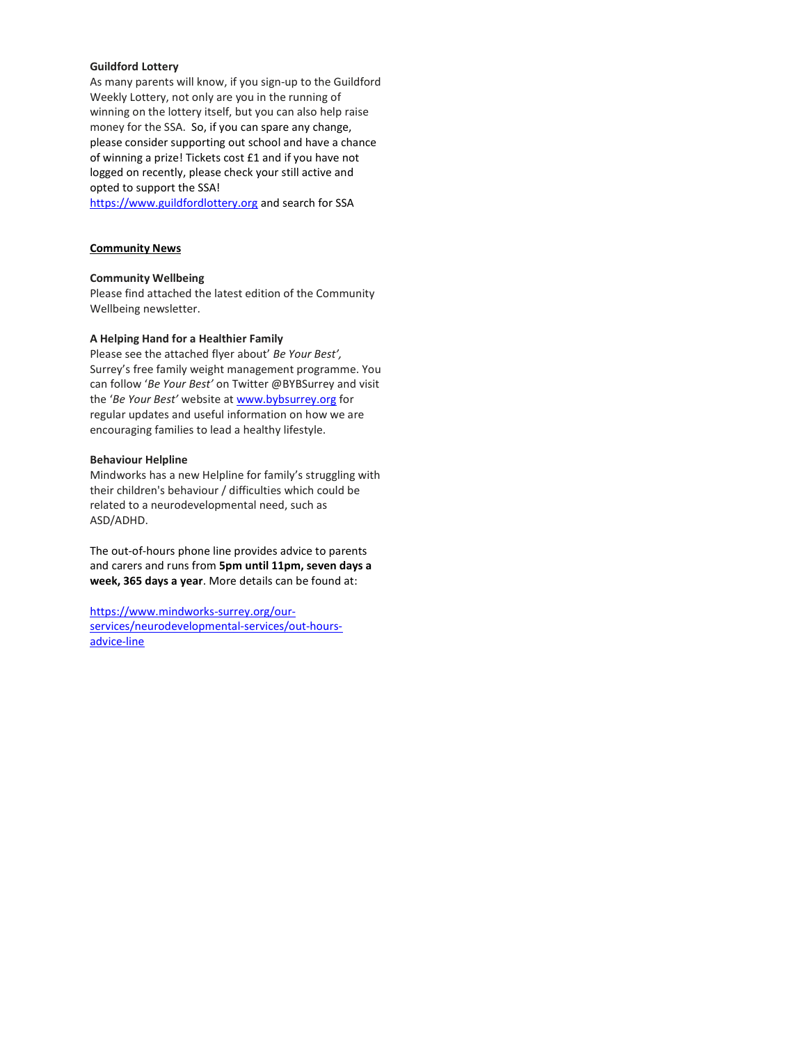# Guildford Lottery

As many parents will know, if you sign-up to the Guildford Weekly Lottery, not only are you in the running of winning on the lottery itself, but you can also help raise money for the SSA. So, if you can spare any change, please consider supporting out school and have a chance of winning a prize! Tickets cost £1 and if you have not logged on recently, please check your still active and opted to support the SSA!

https://www.guildfordlottery.org and search for SSA

# Community News

## Community Wellbeing

Please find attached the latest edition of the Community Wellbeing newsletter.

## A Helping Hand for a Healthier Family

Please see the attached flyer about' Be Your Best', Surrey's free family weight management programme. You can follow 'Be Your Best' on Twitter @BYBSurrey and visit the 'Be Your Best' website at www.bybsurrey.org for regular updates and useful information on how we are encouraging families to lead a healthy lifestyle.

## Behaviour Helpline

Mindworks has a new Helpline for family's struggling with their children's behaviour / difficulties which could be related to a neurodevelopmental need, such as ASD/ADHD.

The out-of-hours phone line provides advice to parents and carers and runs from 5pm until 11pm, seven days a week, 365 days a year. More details can be found at:

https://www.mindworks-surrey.org/ourservices/neurodevelopmental-services/out-hoursadvice-line